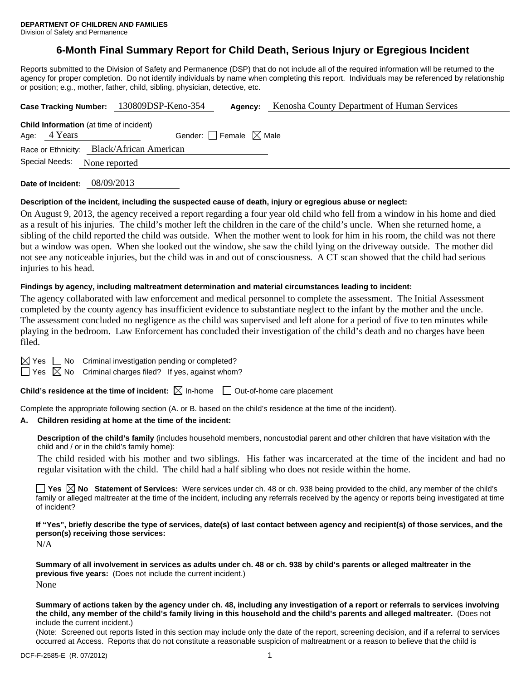# **6-Month Final Summary Report for Child Death, Serious Injury or Egregious Incident**

Reports submitted to the Division of Safety and Permanence (DSP) that do not include all of the required information will be returned to the agency for proper completion. Do not identify individuals by name when completing this report. Individuals may be referenced by relationship or position; e.g., mother, father, child, sibling, physician, detective, etc.

|                                 |                                                | Case Tracking Number: 130809DSP-Keno-354  | Agency:                                | Kenosha County Department of Human Services |  |  |  |
|---------------------------------|------------------------------------------------|-------------------------------------------|----------------------------------------|---------------------------------------------|--|--|--|
|                                 | <b>Child Information</b> (at time of incident) |                                           |                                        |                                             |  |  |  |
| Age: 4 Years                    |                                                |                                           | Gender: $\Box$ Female $\boxtimes$ Male |                                             |  |  |  |
|                                 |                                                | Race or Ethnicity: Black/African American |                                        |                                             |  |  |  |
| Special Needs:<br>None reported |                                                |                                           |                                        |                                             |  |  |  |
|                                 |                                                |                                           |                                        |                                             |  |  |  |

**Date of Incident:** 08/09/2013

#### **Description of the incident, including the suspected cause of death, injury or egregious abuse or neglect:**

On August 9, 2013, the agency received a report regarding a four year old child who fell from a window in his home and died as a result of his injuries. The child's mother left the children in the care of the child's uncle. When she returned home, a sibling of the child reported the child was outside. When the mother went to look for him in his room, the child was not there but a window was open. When she looked out the window, she saw the child lying on the driveway outside. The mother did not see any noticeable injuries, but the child was in and out of consciousness. A CT scan showed that the child had serious injuries to his head.

#### **Findings by agency, including maltreatment determination and material circumstances leading to incident:**

The agency collaborated with law enforcement and medical personnel to complete the assessment. The Initial Assessment completed by the county agency has insufficient evidence to substantiate neglect to the infant by the mother and the uncle. The assessment concluded no negligence as the child was supervised and left alone for a period of five to ten minutes while playing in the bedroom. Law Enforcement has concluded their investigation of the child's death and no charges have been filed.

 $\boxtimes$  Yes  $\Box$  No Criminal investigation pending or completed?

 $\Box$  Yes  $\boxtimes$  No Criminal charges filed? If yes, against whom?

**Child's residence at the time of incident:**  $\boxtimes$  In-home  $\Box$  Out-of-home care placement

Complete the appropriate following section (A. or B. based on the child's residence at the time of the incident).

### **A. Children residing at home at the time of the incident:**

**Description of the child's family** (includes household members, noncustodial parent and other children that have visitation with the child and / or in the child's family home):

 The child resided with his mother and two siblings. His father was incarcerated at the time of the incident and had no regular visitation with the child. The child had a half sibling who does not reside within the home.

**Yes**  $\boxtimes$  **No** Statement of Services: Were services under ch. 48 or ch. 938 being provided to the child, any member of the child's family or alleged maltreater at the time of the incident, including any referrals received by the agency or reports being investigated at time of incident?

**If "Yes", briefly describe the type of services, date(s) of last contact between agency and recipient(s) of those services, and the person(s) receiving those services:** 

N/A

**Summary of all involvement in services as adults under ch. 48 or ch. 938 by child's parents or alleged maltreater in the previous five years:** (Does not include the current incident.) None

**Summary of actions taken by the agency under ch. 48, including any investigation of a report or referrals to services involving the child, any member of the child's family living in this household and the child's parents and alleged maltreater.** (Does not include the current incident.)

(Note: Screened out reports listed in this section may include only the date of the report, screening decision, and if a referral to services occurred at Access. Reports that do not constitute a reasonable suspicion of maltreatment or a reason to believe that the child is